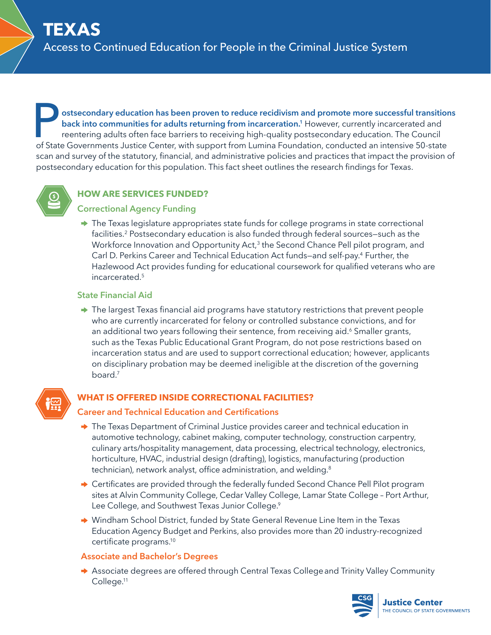**Postsecondary education has been proven to reduce recidivism and promote more successful transitions back into communities for adults returning from incarceration.<sup>1</sup> However, currently incarcerated and reentering adults back into communities for adults returning from incarceration.1** However, currently incarcerated and reentering adults often face barriers to receiving high-quality postsecondary education. The Council scan and survey of the statutory, financial, and administrative policies and practices that impact the provision of postsecondary education for this population. This fact sheet outlines the research findings for Texas.



# **HOW ARE SERVICES FUNDED?**

# **Correctional Agency Funding**

 $\rightarrow$  The Texas legislature appropriates state funds for college programs in state correctional facilities.2 Postsecondary education is also funded through federal sources—such as the Workforce Innovation and Opportunity Act,<sup>3</sup> the Second Chance Pell pilot program, and Carl D. Perkins Career and Technical Education Act funds-and self-pay.<sup>4</sup> Further, the Hazlewood Act provides funding for educational coursework for qualified veterans who are incarcerated.5

# **State Financial Aid**

 $\rightarrow$  The largest Texas financial aid programs have statutory restrictions that prevent people who are currently incarcerated for felony or controlled substance convictions, and for an additional two years following their sentence, from receiving aid.<sup>6</sup> Smaller grants, such as the Texas Public Educational Grant Program, do not pose restrictions based on incarceration status and are used to support correctional education; however, applicants on disciplinary probation may be deemed ineligible at the discretion of the governing board.<sup>7</sup>



# **WHAT IS OFFERED INSIDE CORRECTIONAL FACILITIES?**

# **Career and Technical Education and Certifications**

- → The Texas Department of Criminal Justice provides career and technical education in automotive technology, cabinet making, computer technology, construction carpentry, culinary arts/hospitality management, data processing, electrical technology, electronics, horticulture, HVAC, industrial design (drafting), logistics, manufacturing (production technician), network analyst, office administration, and welding.<sup>8</sup>
- → Certificates are provided through the federally funded Second Chance Pell Pilot program sites at Alvin Community College, Cedar Valley College, Lamar State College – Port Arthur, Lee College, and Southwest Texas Junior College.<sup>9</sup>
- → Windham School District, funded by State General Revenue Line Item in the Texas Education Agency Budget and Perkins, also provides more than 20 industry-recognized certificate programs.<sup>10</sup>

# **Associate and Bachelor's Degrees**

→ Associate degrees are offered through Central Texas College and Trinity Valley Community College.11

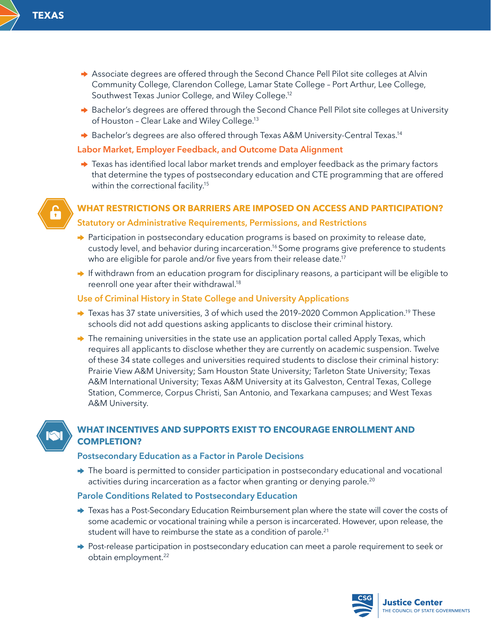- Associate degrees are offered through the Second Chance Pell Pilot site colleges at Alvin Community College, Clarendon College, Lamar State College – Port Arthur, Lee College, Southwest Texas Junior College, and Wiley College.<sup>12</sup>
- → Bachelor's degrees are offered through the Second Chance Pell Pilot site colleges at University of Houston - Clear Lake and Wiley College.<sup>13</sup>
- → Bachelor's degrees are also offered through Texas A&M University-Central Texas.<sup>14</sup>

### **Labor Market, Employer Feedback, and Outcome Data Alignment**

 $\rightarrow$  Texas has identified local labor market trends and employer feedback as the primary factors that determine the types of postsecondary education and CTE programming that are offered within the correctional facility.<sup>15</sup>



## **WHAT RESTRICTIONS OR BARRIERS ARE IMPOSED ON ACCESS AND PARTICIPATION?**

### **Statutory or Administrative Requirements, Permissions, and Restrictions**

- → Participation in postsecondary education programs is based on proximity to release date, custody level, and behavior during incarceration.16 Some programs give preference to students who are eligible for parole and/or five years from their release date.<sup>17</sup>
- $\rightarrow$  If withdrawn from an education program for disciplinary reasons, a participant will be eligible to reenroll one year after their withdrawal.18

### **Use of Criminal History in State College and University Applications**

- → Texas has 37 state universities, 3 of which used the 2019-2020 Common Application.<sup>19</sup> These schools did not add questions asking applicants to disclose their criminal history.
- $\rightarrow$  The remaining universities in the state use an application portal called Apply Texas, which requires all applicants to disclose whether they are currently on academic suspension. Twelve of these 34 state colleges and universities required students to disclose their criminal history: Prairie View A&M University; Sam Houston State University; Tarleton State University; Texas A&M International University; Texas A&M University at its Galveston, Central Texas, College Station, Commerce, Corpus Christi, San Antonio, and Texarkana campuses; and West Texas A&M University.



# **WHAT INCENTIVES AND SUPPORTS EXIST TO ENCOURAGE ENROLLMENT AND COMPLETION?**

#### **Postsecondary Education as a Factor in Parole Decisions**

 $\rightarrow$  The board is permitted to consider participation in postsecondary educational and vocational activities during incarceration as a factor when granting or denying parole.<sup>20</sup>

## **Parole Conditions Related to Postsecondary Education**

- → Texas has a Post-Secondary Education Reimbursement plan where the state will cover the costs of some academic or vocational training while a person is incarcerated. However, upon release, the student will have to reimburse the state as a condition of parole.<sup>21</sup>
- → Post-release participation in postsecondary education can meet a parole requirement to seek or obtain employment.<sup>22</sup>